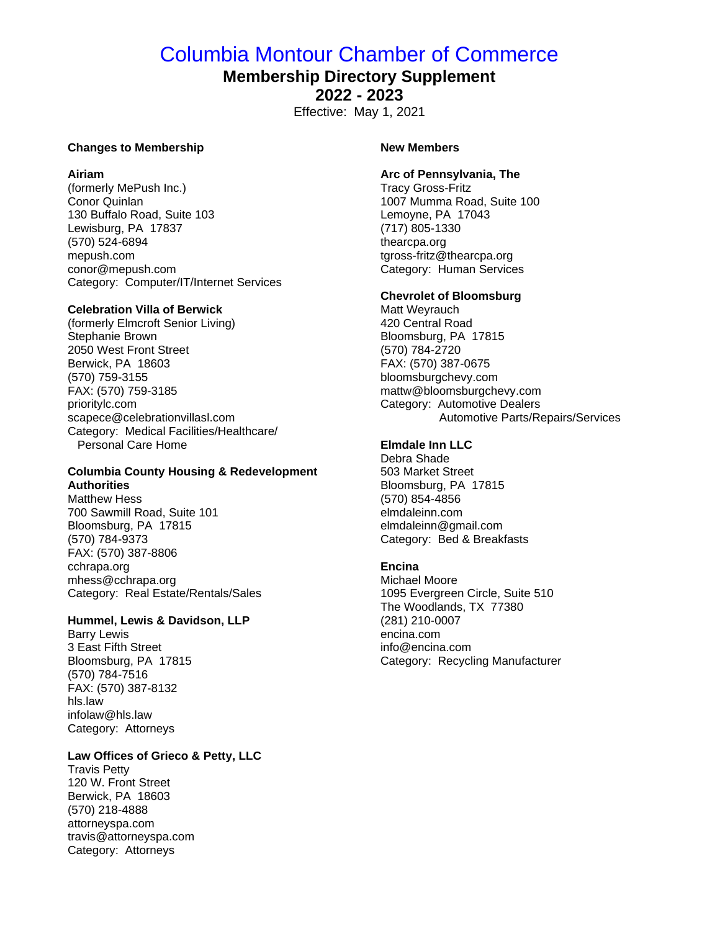# Columbia Montour Chamber of Commerce

# **Membership Directory Supplement**

**2022 - 2023**

Effective: May 1, 2021

#### **Changes to Membership**

#### **Airiam**

(formerly MePush Inc.) Conor Quinlan 130 Buffalo Road, Suite 103 Lewisburg, PA 17837 (570) 524-6894 mepush.com conor@mepush.com Category: Computer/IT/Internet Services

#### **Celebration Villa of Berwick**

(formerly Elmcroft Senior Living) Stephanie Brown 2050 West Front Street Berwick, PA 18603 (570) 759-3155 FAX: (570) 759-3185 prioritylc.com scapece@celebrationvillasl.com Category: Medical Facilities/Healthcare/ Personal Care Home

## **Columbia County Housing & Redevelopment Authorities**

Matthew Hess 700 Sawmill Road, Suite 101 Bloomsburg, PA 17815 (570) 784-9373 FAX: (570) 387-8806 cchrapa.org mhess@cchrapa.org Category: Real Estate/Rentals/Sales

#### **Hummel, Lewis & Davidson, LLP**

Barry Lewis 3 East Fifth Street Bloomsburg, PA 17815 (570) 784-7516 FAX: (570) 387-8132 hls.law infolaw@hls.law Category: Attorneys

# **Law Offices of Grieco & Petty, LLC**

Travis Petty 120 W. Front Street Berwick, PA 18603 (570) 218-4888 attorneyspa.com travis@attorneyspa.com Category: Attorneys

#### **New Members**

#### **Arc of Pennsylvania, The**

Tracy Gross-Fritz 1007 Mumma Road, Suite 100 Lemoyne, PA 17043 (717) 805-1330 thearcpa.org tgross-fritz@thearcpa.org Category: Human Services

#### **Chevrolet of Bloomsburg**

Matt Weyrauch 420 Central Road Bloomsburg, PA 17815 (570) 784-2720 FAX: (570) 387-0675 bloomsburgchevy.com mattw@bloomsburgchevy.com Category: Automotive Dealers Automotive Parts/Repairs/Services

# **Elmdale Inn LLC**

Debra Shade 503 Market Street Bloomsburg, PA 17815 (570) 854-4856 elmdaleinn.com elmdaleinn@gmail.com Category: Bed & Breakfasts

#### **Encina**

Michael Moore 1095 Evergreen Circle, Suite 510 The Woodlands, TX 77380 (281) 210-0007 encina.com info@encina.com Category: Recycling Manufacturer